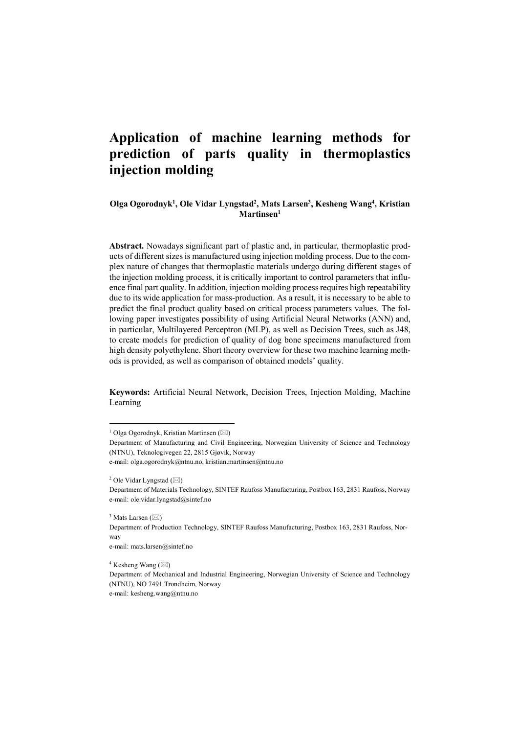# **Application of machine learning methods for prediction of parts quality in thermoplastics injection molding**

## Olga Ogorodnyk<sup>1</sup>, Ole Vidar Lyngstad<sup>2</sup>, Mats Larsen<sup>3</sup>, Kesheng Wang<sup>4</sup>, Kristian **Martinsen1**

**Abstract.** Nowadays significant part of plastic and, in particular, thermoplastic products of different sizes is manufactured using injection molding process. Due to the complex nature of changes that thermoplastic materials undergo during different stages of the injection molding process, it is critically important to control parameters that influence final part quality. In addition, injection molding process requires high repeatability due to its wide application for mass-production. As a result, it is necessary to be able to predict the final product quality based on critical process parameters values. The following paper investigates possibility of using Artificial Neural Networks (ANN) and, in particular, Multilayered Perceptron (MLP), as well as Decision Trees, such as J48, to create models for prediction of quality of dog bone specimens manufactured from high density polyethylene. Short theory overview for these two machine learning methods is provided, as well as comparison of obtained models' quality.

**Keywords:** Artificial Neural Network, Decision Trees, Injection Molding, Machine Learning

e-mail: olga.ogorodnyk@ntnu.no, kristian.martinsen@ntnu.no

<sup>2</sup> Ole Vidar Lyngstad ( $\boxtimes$ )

 $3$  Mats Larsen ( $\boxtimes$ ) Department of Production Technology, SINTEF Raufoss Manufacturing, Postbox 163, 2831 Raufoss, Norway e-mail: mats.larsen@sintef.no

<sup>4</sup> Kesheng Wang ( $\boxtimes$ )

Department of Mechanical and Industrial Engineering, Norwegian University of Science and Technology (NTNU), NO 7491 Trondheim, Norway e-mail: kesheng.wang@ntnu.no

<sup>&</sup>lt;sup>1</sup> Olga Ogorodnyk, Kristian Martinsen ( $\boxtimes$ )

Department of Manufacturing and Civil Engineering, Norwegian University of Science and Technology (NTNU), Teknologivegen 22, 2815 Gjøvik, Norway

Department of Materials Technology, SINTEF Raufoss Manufacturing, Postbox 163, 2831 Raufoss, Norway e-mail: ole.vidar.lyngstad@sintef.no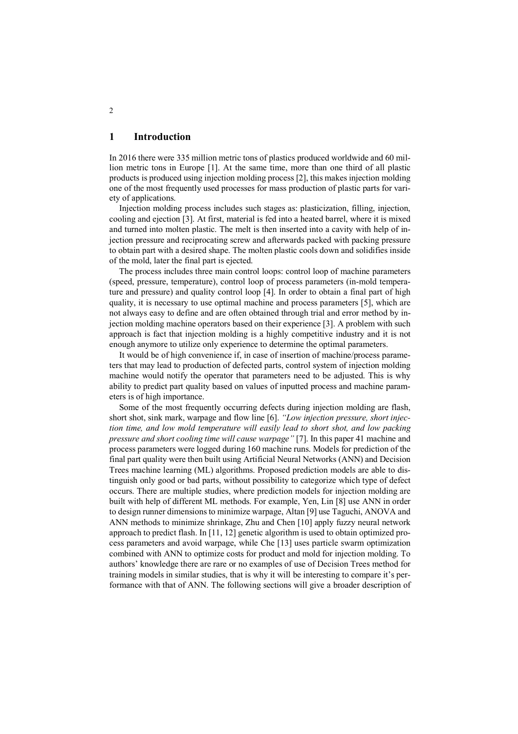## **1 Introduction**

In 2016 there were 335 million metric tons of plastics produced worldwide and 60 million metric tons in Europe [1]. At the same time, more than one third of all plastic products is produced using injection molding process [2], this makes injection molding one of the most frequently used processes for mass production of plastic parts for variety of applications.

Injection molding process includes such stages as: plasticization, filling, injection, cooling and ejection [3]. At first, material is fed into a heated barrel, where it is mixed and turned into molten plastic. The melt is then inserted into a cavity with help of injection pressure and reciprocating screw and afterwards packed with packing pressure to obtain part with a desired shape. The molten plastic cools down and solidifies inside of the mold, later the final part is ejected.

The process includes three main control loops: control loop of machine parameters (speed, pressure, temperature), control loop of process parameters (in-mold temperature and pressure) and quality control loop [4]. In order to obtain a final part of high quality, it is necessary to use optimal machine and process parameters [5], which are not always easy to define and are often obtained through trial and error method by injection molding machine operators based on their experience [3]. A problem with such approach is fact that injection molding is a highly competitive industry and it is not enough anymore to utilize only experience to determine the optimal parameters.

It would be of high convenience if, in case of insertion of machine/process parameters that may lead to production of defected parts, control system of injection molding machine would notify the operator that parameters need to be adjusted. This is why ability to predict part quality based on values of inputted process and machine parameters is of high importance.

Some of the most frequently occurring defects during injection molding are flash, short shot, sink mark, warpage and flow line [6]. *"Low injection pressure, short injection time, and low mold temperature will easily lead to short shot, and low packing pressure and short cooling time will cause warpage"* [7]. In this paper 41 machine and process parameters were logged during 160 machine runs. Models for prediction of the final part quality were then built using Artificial Neural Networks (ANN) and Decision Trees machine learning (ML) algorithms. Proposed prediction models are able to distinguish only good or bad parts, without possibility to categorize which type of defect occurs. There are multiple studies, where prediction models for injection molding are built with help of different ML methods. For example, Yen, Lin [8] use ANN in order to design runner dimensions to minimize warpage, Altan [9] use Taguchi, ANOVA and ANN methods to minimize shrinkage, Zhu and Chen [10] apply fuzzy neural network approach to predict flash. In [11, 12] genetic algorithm is used to obtain optimized process parameters and avoid warpage, while Che [13] uses particle swarm optimization combined with ANN to optimize costs for product and mold for injection molding. To authors' knowledge there are rare or no examples of use of Decision Trees method for training models in similar studies, that is why it will be interesting to compare it's performance with that of ANN. The following sections will give a broader description of

2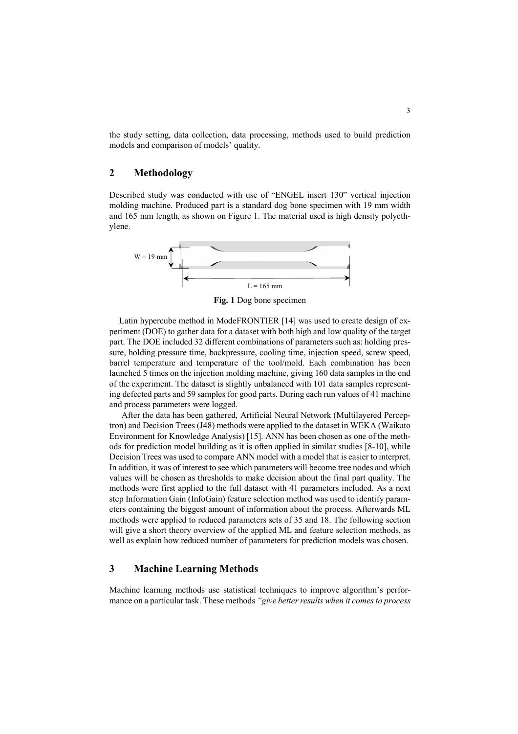the study setting, data collection, data processing, methods used to build prediction models and comparison of models' quality.

## **2 Methodology**

Described study was conducted with use of "ENGEL insert 130" vertical injection molding machine. Produced part is a standard dog bone specimen with 19 mm width and 165 mm length, as shown on Figure 1. The material used is high density polyethylene.



**Fig. 1** Dog bone specimen

Latin hypercube method in ModeFRONTIER [14] was used to create design of experiment (DOE) to gather data for a dataset with both high and low quality of the target part. The DOE included 32 different combinations of parameters such as: holding pressure, holding pressure time, backpressure, cooling time, injection speed, screw speed, barrel temperature and temperature of the tool/mold. Each combination has been launched 5 times on the injection molding machine, giving 160 data samples in the end of the experiment. The dataset is slightly unbalanced with 101 data samples representing defected parts and 59 samples for good parts. During each run values of 41 machine and process parameters were logged.

After the data has been gathered, Artificial Neural Network (Multilayered Perceptron) and Decision Trees (J48) methods were applied to the dataset in WEKA (Waikato Environment for Knowledge Analysis) [15]. ANN has been chosen as one of the methods for prediction model building as it is often applied in similar studies [8-10], while Decision Trees was used to compare ANN model with a model that is easier to interpret. In addition, it was of interest to see which parameters will become tree nodes and which values will be chosen as thresholds to make decision about the final part quality. The methods were first applied to the full dataset with 41 parameters included. As a next step Information Gain (InfoGain) feature selection method was used to identify parameters containing the biggest amount of information about the process. Afterwards ML methods were applied to reduced parameters sets of 35 and 18. The following section will give a short theory overview of the applied ML and feature selection methods, as well as explain how reduced number of parameters for prediction models was chosen.

# **3 Machine Learning Methods**

Machine learning methods use statistical techniques to improve algorithm's performance on a particular task. These methods *"give better results when it comes to process*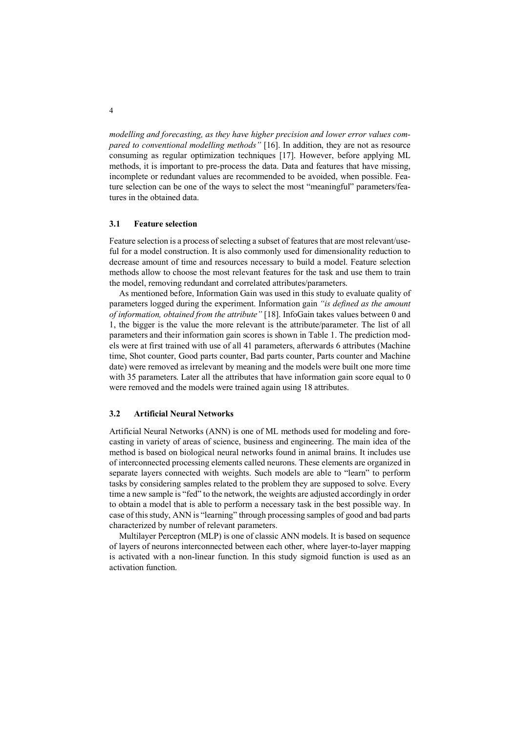*modelling and forecasting, as they have higher precision and lower error values compared to conventional modelling methods*" [16]. In addition, they are not as resource consuming as regular optimization techniques [17]. However, before applying ML methods, it is important to pre-process the data. Data and features that have missing, incomplete or redundant values are recommended to be avoided, when possible. Feature selection can be one of the ways to select the most "meaningful" parameters/features in the obtained data.

## **3.1 Feature selection**

Feature selection is a process of selecting a subset of features that are most relevant/useful for a model construction. It is also commonly used for dimensionality reduction to decrease amount of time and resources necessary to build a model. Feature selection methods allow to choose the most relevant features for the task and use them to train the model, removing redundant and correlated attributes/parameters.

As mentioned before, Information Gain was used in this study to evaluate quality of parameters logged during the experiment. Information gain *"is defined as the amount of information, obtained from the attribute"* [18]. InfoGain takes values between 0 and 1, the bigger is the value the more relevant is the attribute/parameter. The list of all parameters and their information gain scores is shown in Table 1. The prediction models were at first trained with use of all 41 parameters, afterwards 6 attributes (Machine time, Shot counter, Good parts counter, Bad parts counter, Parts counter and Machine date) were removed as irrelevant by meaning and the models were built one more time with 35 parameters. Later all the attributes that have information gain score equal to 0 were removed and the models were trained again using 18 attributes.

#### **3.2 Artificial Neural Networks**

Artificial Neural Networks (ANN) is one of ML methods used for modeling and forecasting in variety of areas of science, business and engineering. The main idea of the method is based on biological neural networks found in animal brains. It includes use of interconnected processing elements called neurons. These elements are organized in separate layers connected with weights. Such models are able to "learn" to perform tasks by considering samples related to the problem they are supposed to solve. Every time a new sample is "fed" to the network, the weights are adjusted accordingly in order to obtain a model that is able to perform a necessary task in the best possible way. In case of this study, ANN is "learning" through processing samples of good and bad parts characterized by number of relevant parameters.

Multilayer Perceptron (MLP) is one of classic ANN models. It is based on sequence of layers of neurons interconnected between each other, where layer-to-layer mapping is activated with a non-linear function. In this study sigmoid function is used as an activation function.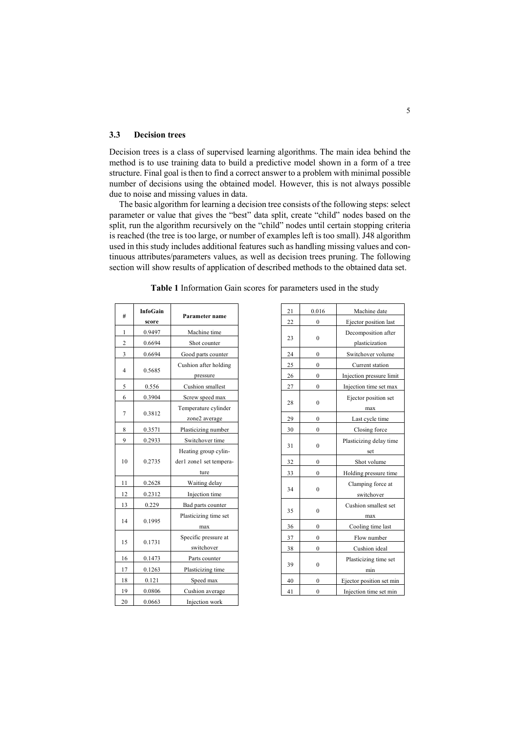#### **3.3 Decision trees**

Decision trees is a class of supervised learning algorithms. The main idea behind the method is to use training data to build a predictive model shown in a form of a tree structure. Final goal is then to find a correct answer to a problem with minimal possible number of decisions using the obtained model. However, this is not always possible due to noise and missing values in data.

The basic algorithm for learning a decision tree consists of the following steps: select parameter or value that gives the "best" data split, create "child" nodes based on the split, run the algorithm recursively on the "child" nodes until certain stopping criteria is reached (the tree is too large, or number of examples left is too small). J48 algorithm used in this study includes additional features such as handling missing values and continuous attributes/parameters values, as well as decision trees pruning. The following section will show results of application of described methods to the obtained data set.

| #              | <b>InfoGain</b><br>score | Parameter name                                          |  |
|----------------|--------------------------|---------------------------------------------------------|--|
| 1              | 0.9497                   | Machine time                                            |  |
| $\overline{c}$ | 0.6694                   | Shot counter                                            |  |
| 3              | 0.6694                   | Good parts counter                                      |  |
| $\overline{4}$ | 0.5685                   | Cushion after holding<br>pressure                       |  |
| 5              | 0.556                    | Cushion smallest                                        |  |
| 6              | 0.3904                   | Screw speed max                                         |  |
| 7              | 0.3812                   | Temperature cylinder<br>zone2 average                   |  |
| 8              | 0.3571                   | Plasticizing number                                     |  |
| 9              | 0.2933                   | Switchover time                                         |  |
| 10             | 0.2735                   | Heating group cylin-<br>der1 zone1 set tempera-<br>ture |  |
| 11             | 0.2628                   | Waiting delay                                           |  |
| 12             | 0.2312                   | Injection time                                          |  |
| 13             | 0.229                    | Bad parts counter                                       |  |
| 14             | 0.1995                   | Plasticizing time set<br>max                            |  |
| 15             | 0.1731                   | Specific pressure at<br>switchover                      |  |
| 16             | 0.1473                   | Parts counter                                           |  |
| 17             | 0.1263                   | Plasticizing time                                       |  |
| 18             | 0.121                    | Speed max                                               |  |
| 19             | 0.0806                   | Cushion average                                         |  |
| 20             | 0.0663                   | Injection work                                          |  |

| 21 | 0.016          | Machine date             |  |
|----|----------------|--------------------------|--|
| 22 | 0              | Ejector position last    |  |
|    | $\overline{0}$ | Decomposition after      |  |
| 23 |                | plasticization           |  |
| 24 | $\theta$       | Switchover volume        |  |
| 25 | $\mathbf{0}$   | Current station          |  |
| 26 | $\bf{0}$       | Injection pressure limit |  |
| 27 | $\overline{0}$ | Injection time set max   |  |
| 28 | $\theta$       | Ejector position set     |  |
|    |                | max                      |  |
| 29 | $\overline{0}$ | Last cycle time          |  |
| 30 | $\overline{0}$ | Closing force            |  |
| 31 | $\overline{0}$ | Plasticizing delay time  |  |
|    |                | set                      |  |
| 32 | $\overline{0}$ | Shot volume              |  |
| 33 | $\overline{0}$ | Holding pressure time    |  |
| 34 | $\theta$       | Clamping force at        |  |
|    |                | switchover               |  |
| 35 | $\overline{0}$ | Cushion smallest set     |  |
|    |                | max                      |  |
| 36 | $\overline{0}$ | Cooling time last        |  |
| 37 | $\overline{0}$ | Flow number              |  |
| 38 | $\bf{0}$       | Cushion ideal            |  |
| 39 | $\overline{0}$ | Plasticizing time set    |  |
|    |                | min                      |  |
| 40 | $\overline{0}$ | Ejector position set min |  |
| 41 | $\bf{0}$       | Injection time set min   |  |

**Table 1** Information Gain scores for parameters used in the study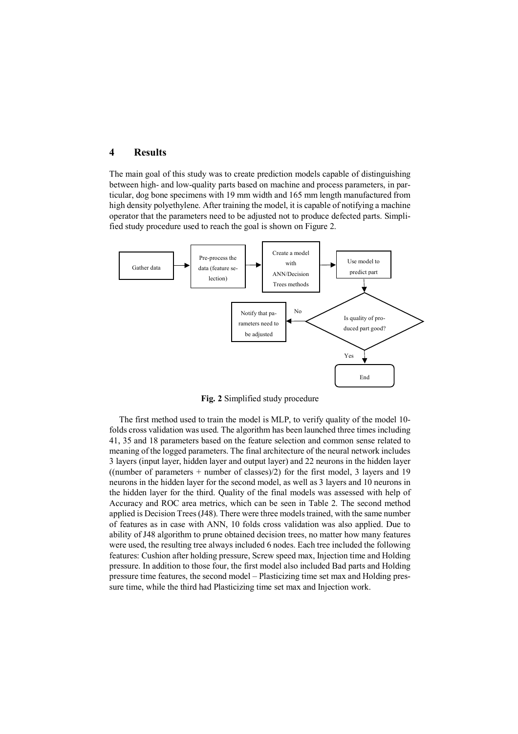## **4 Results**

The main goal of this study was to create prediction models capable of distinguishing between high- and low-quality parts based on machine and process parameters, in particular, dog bone specimens with 19 mm width and 165 mm length manufactured from high density polyethylene. After training the model, it is capable of notifying a machine operator that the parameters need to be adjusted not to produce defected parts. Simplified study procedure used to reach the goal is shown on Figure 2.



**Fig. 2** Simplified study procedure

The first method used to train the model is MLP, to verify quality of the model 10 folds cross validation was used. The algorithm has been launched three times including 41, 35 and 18 parameters based on the feature selection and common sense related to meaning of the logged parameters. The final architecture of the neural network includes 3 layers (input layer, hidden layer and output layer) and 22 neurons in the hidden layer ((number of parameters  $+$  number of classes)/2) for the first model, 3 layers and 19 neurons in the hidden layer for the second model, as well as 3 layers and 10 neurons in the hidden layer for the third. Quality of the final models was assessed with help of Accuracy and ROC area metrics, which can be seen in Table 2. The second method applied is Decision Trees (J48). There were three models trained, with the same number of features as in case with ANN, 10 folds cross validation was also applied. Due to ability of J48 algorithm to prune obtained decision trees, no matter how many features were used, the resulting tree always included 6 nodes. Each tree included the following features: Cushion after holding pressure, Screw speed max, Injection time and Holding pressure. In addition to those four, the first model also included Bad parts and Holding pressure time features, the second model – Plasticizing time set max and Holding pressure time, while the third had Plasticizing time set max and Injection work.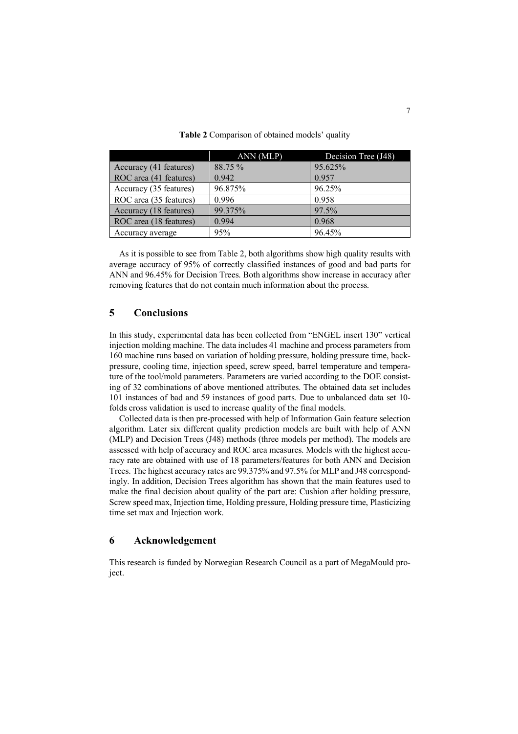|                        | ANN (MLP) | Decision Tree (J48) |
|------------------------|-----------|---------------------|
| Accuracy (41 features) | 88.75 %   | 95.625%             |
| ROC area (41 features) | 0.942     | 0.957               |
| Accuracy (35 features) | 96.875%   | 96.25%              |
| ROC area (35 features) | 0.996     | 0.958               |
| Accuracy (18 features) | 99.375%   | 97.5%               |
| ROC area (18 features) | 0.994     | 0.968               |
| Accuracy average       | 95%       | 96.45%              |

**Table 2** Comparison of obtained models' quality

As it is possible to see from Table 2, both algorithms show high quality results with average accuracy of 95% of correctly classified instances of good and bad parts for ANN and 96.45% for Decision Trees. Both algorithms show increase in accuracy after removing features that do not contain much information about the process.

## **5 Conclusions**

In this study, experimental data has been collected from "ENGEL insert 130" vertical injection molding machine. The data includes 41 machine and process parameters from 160 machine runs based on variation of holding pressure, holding pressure time, backpressure, cooling time, injection speed, screw speed, barrel temperature and temperature of the tool/mold parameters. Parameters are varied according to the DOE consisting of 32 combinations of above mentioned attributes. The obtained data set includes 101 instances of bad and 59 instances of good parts. Due to unbalanced data set 10 folds cross validation is used to increase quality of the final models.

Collected data is then pre-processed with help of Information Gain feature selection algorithm. Later six different quality prediction models are built with help of ANN (MLP) and Decision Trees (J48) methods (three models per method). The models are assessed with help of accuracy and ROC area measures. Models with the highest accuracy rate are obtained with use of 18 parameters/features for both ANN and Decision Trees. The highest accuracy rates are 99.375% and 97.5% for MLP and J48 correspondingly. In addition, Decision Trees algorithm has shown that the main features used to make the final decision about quality of the part are: Cushion after holding pressure, Screw speed max, Injection time, Holding pressure, Holding pressure time, Plasticizing time set max and Injection work.

## **6 Acknowledgement**

This research is funded by Norwegian Research Council as a part of MegaMould project.